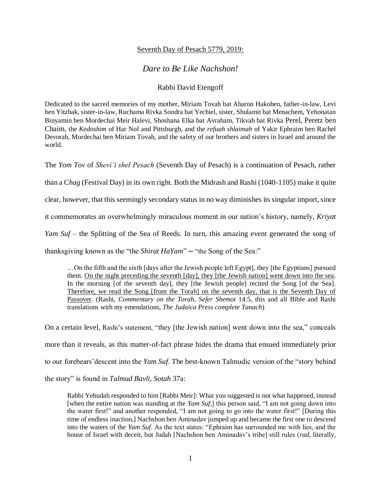## Seventh Day of Pesach 5779, 2019:

## *Dare to Be Like Nachshon!*

## Rabbi David Etengoff

Dedicated to the sacred memories of my mother, Miriam Tovah bat Aharon Hakohen, father-in-law, Levi ben Yitzhak, sister-in-law, Ruchama Rivka Sondra bat Yechiel, sister, Shulamit bat Menachem, Yehonatan Binyamin ben Mordechai Meir Halevi, Shoshana Elka bat Avraham, Tikvah bat Rivka Perel, Peretz ben Chaim, the *Kedoshim* of Har Nof and Pittsburgh, and the *refuah shlaimah* of Yakir Ephraim ben Rachel Devorah, Mordechai ben Miriam Tovah, and the safety of our brothers and sisters in Israel and around the world.

The *Yom Tov* of *Shevi'i shel Pesach* (Seventh Day of Pesach) is a continuation of Pesach, rather

than a C*hag* (Festival Day) in its own right. Both the Midrash and Rashi (1040-1105) make it quite

clear, however, that this seemingly secondary status in no way diminishes its singular import, since

it commemorates an overwhelmingly miraculous moment in our nation's history, namely, *Kriyat* 

*Yam Suf* – the Splitting of the Sea of Reeds. In turn, this amazing event generated the song of

thanksgiving known as the "the *Shirat HaYam*" ─ "the Song of the Sea:"

…On the fifth and the sixth [days after the Jewish people left Egypt], they [the Egyptians] pursued them. On the night preceding the seventh [day], they [the Jewish nation] went down into the sea. In the morning [of the seventh day], they [the Jewish people] recited the Song [of the Sea]. Therefore, we read the Song [from the Torah] on the seventh day, that is the Seventh Day of Passover. (Rashi, *Commentary on the Torah*, *Sefer Shemot* 14:5, this and all Bible and Rashi translations with my emendations, *The Judaica Press complete Tanach*)

On a certain level, Rashi's statement, "they [the Jewish nation] went down into the sea," conceals more than it reveals, as this matter-of-fact phrase hides the drama that ensued immediately prior to our forebears'descent into the *Yam Suf*. The best-known Talmudic version of the "story behind the story" is found in *Talmud Bavli*, *Sotah* 37a:

Rabbi Yehudah responded to him [Rabbi Meir]: What you suggested is not what happened, instead [when the entire nation was standing at the *Yam Suf*,] this person said, "I am not going down into the water first!" and another responded, "I am not going to go into the water first!" [During this time of endless inaction,] Nachshon ben Aminadav jumped up and became the first one to descend into the waters of the *Yam Suf*. As the text states: "Ephraim has surrounded me with lies, and the house of Israel with deceit, but Judah [Nachshon ben Aminadav's tribe] still rules (*rad*, literally,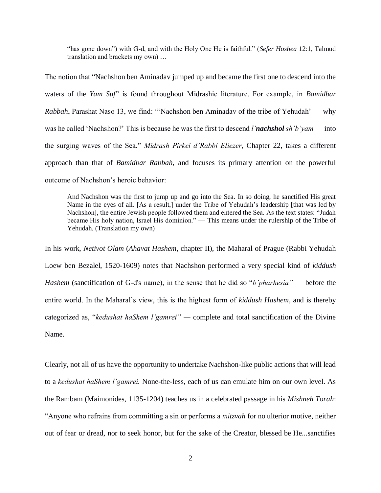"has gone down") with G-d, and with the Holy One He is faithful." (*Sefer Hoshea* 12:1, Talmud translation and brackets my own) …

The notion that "Nachshon ben Aminadav jumped up and became the first one to descend into the waters of the *Yam Suf*" is found throughout Midrashic literature. For example, in *Bamidbar Rabbah*, Parashat Naso 13, we find: "'Nachshon ben Aminadav of the tribe of Yehudah' — why was he called 'Nachshon?' This is because he was the first to descend *l'nachshol sh'b'yam* — into the surging waves of the Sea." *Midrash Pirkei d'Rabbi Eliezer*, Chapter 22, takes a different approach than that of *Bamidbar Rabbah*, and focuses its primary attention on the powerful outcome of Nachshon's heroic behavior:

And Nachshon was the first to jump up and go into the Sea. In so doing, he sanctified His great Name in the eyes of all. [As a result,] under the Tribe of Yehudah's leadership [that was led by Nachshon], the entire Jewish people followed them and entered the Sea. As the text states: "Judah became His holy nation, Israel His dominion." — This means under the rulership of the Tribe of Yehudah. (Translation my own)

In his work, *Netivot Olam* (*Ahavat Hashem*, chapter II), the Maharal of Prague (Rabbi Yehudah Loew ben Bezalel, 1520-1609) notes that Nachshon performed a very special kind of *kiddush Hashem* (sanctification of G-d's name), in the sense that he did so "*b'pharhesia"* — before the entire world. In the Maharal's view, this is the highest form of *kiddush Hashem*, and is thereby categorized as, "*kedushat haShem l'gamrei" —* complete and total sanctification of the Divine Name.

Clearly, not all of us have the opportunity to undertake Nachshon-like public actions that will lead to a *kedushat haShem l'gamrei*. None-the-less, each of us can emulate him on our own level. As the Rambam (Maimonides, 1135-1204) teaches us in a celebrated passage in his *Mishneh Torah*: "Anyone who refrains from committing a sin or performs a *mitzvah* for no ulterior motive, neither out of fear or dread, nor to seek honor, but for the sake of the Creator, blessed be He...sanctifies